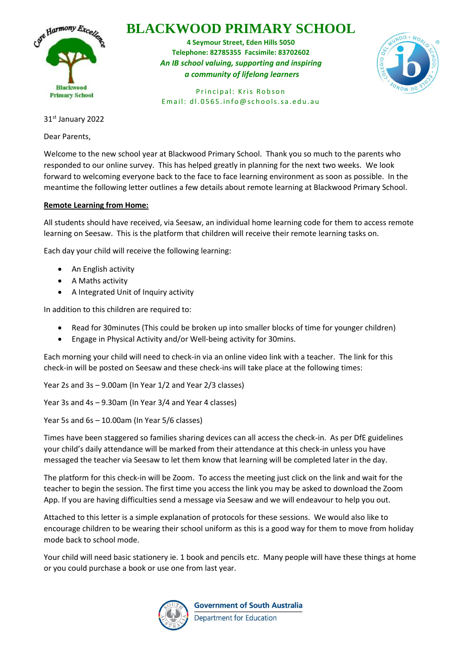

## **BLACKWOOD PRIMARY SCHOOL**

**4 Seymour Street, Eden Hills 5050 Telephone: 82785355 Facsimile: 83702602** *An IB school valuing, supporting and inspiring a community of lifelong learners*



Principal: Kris Robson Email:  $d1.0565.info@schools.sa.edu.au$ 

31st January 2022

Dear Parents,

Welcome to the new school year at Blackwood Primary School. Thank you so much to the parents who responded to our online survey. This has helped greatly in planning for the next two weeks. We look forward to welcoming everyone back to the face to face learning environment as soon as possible. In the meantime the following letter outlines a few details about remote learning at Blackwood Primary School.

### **Remote Learning from Home:**

All students should have received, via Seesaw, an individual home learning code for them to access remote learning on Seesaw. This is the platform that children will receive their remote learning tasks on.

Each day your child will receive the following learning:

- An English activity
- A Maths activity
- A Integrated Unit of Inquiry activity

In addition to this children are required to:

- Read for 30minutes (This could be broken up into smaller blocks of time for younger children)
- Engage in Physical Activity and/or Well-being activity for 30mins.

Each morning your child will need to check-in via an online video link with a teacher. The link for this check-in will be posted on Seesaw and these check-ins will take place at the following times:

Year 2s and 3s – 9.00am (In Year 1/2 and Year 2/3 classes)

Year 3s and 4s – 9.30am (In Year 3/4 and Year 4 classes)

Year 5s and 6s – 10.00am (In Year 5/6 classes)

Times have been staggered so families sharing devices can all access the check-in. As per DfE guidelines your child's daily attendance will be marked from their attendance at this check-in unless you have messaged the teacher via Seesaw to let them know that learning will be completed later in the day.

The platform for this check-in will be Zoom. To access the meeting just click on the link and wait for the teacher to begin the session. The first time you access the link you may be asked to download the Zoom App. If you are having difficulties send a message via Seesaw and we will endeavour to help you out.

Attached to this letter is a simple explanation of protocols for these sessions. We would also like to encourage children to be wearing their school uniform as this is a good way for them to move from holiday mode back to school mode.

Your child will need basic stationery ie. 1 book and pencils etc. Many people will have these things at home or you could purchase a book or use one from last year.